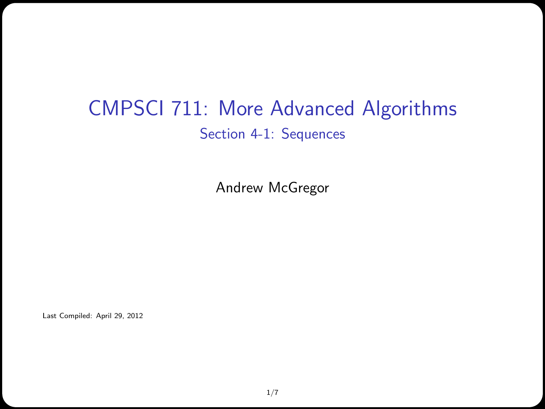#### CMPSCI 711: More Advanced Algorithms Section 4-1: Sequences

Andrew McGregor

Last Compiled: April 29, 2012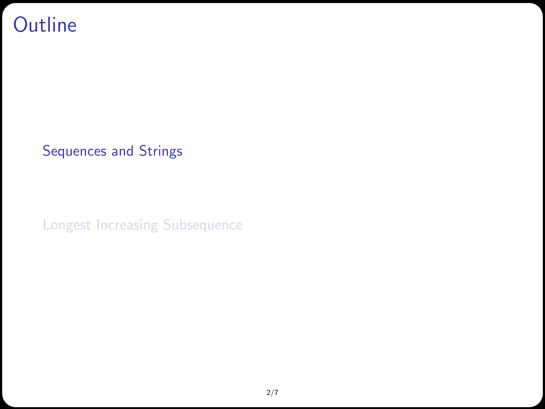#### **Outline**

[Sequences and Strings](#page-1-0)

<span id="page-1-0"></span>[Longest Increasing Subsequence](#page-5-0)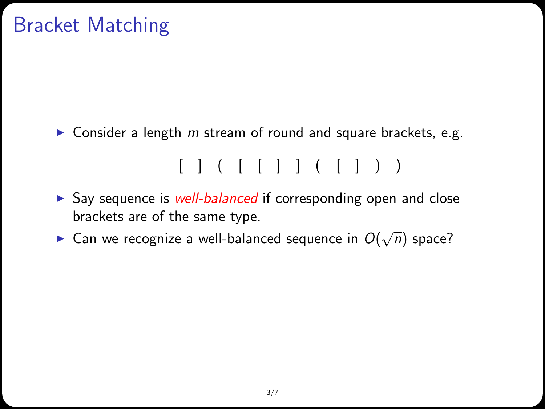# Bracket Matching

 $\triangleright$  Consider a length m stream of round and square brackets, e.g.

 $[ ] ( [ ] ] ( [ ] ] )$ 

- $\triangleright$  Say sequence is well-balanced if corresponding open and close brackets are of the same type.
- ► Can we recognize a well-balanced sequence in  $O(\sqrt{n})$  space?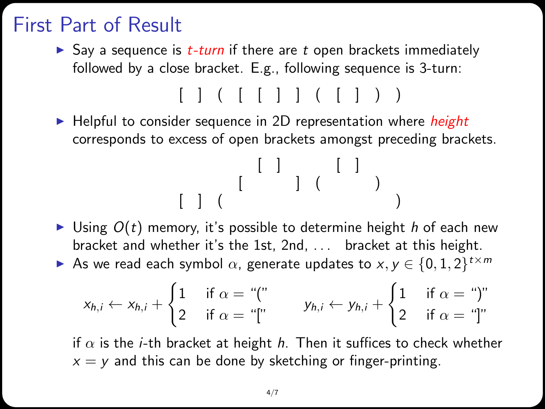### First Part of Result

Say a sequence is  $t$ -turn if there are  $t$  open brackets immediately followed by a close bracket. E.g., following sequence is 3-turn:

 $[ ] ( [ ] ] ( [ ] ] )$ 

 $\blacktriangleright$  Helpful to consider sequence in 2D representation where *height* corresponds to excess of open brackets amongst preceding brackets.

[ ] [ ] [ ] ( ) [ ] ( )

- I Using  $O(t)$  memory, it's possible to determine height h of each new bracket and whether it's the 1st, 2nd, . . . bracket at this height.
- As we read each symbol  $\alpha$ , generate updates to  $x, y \in \{0, 1, 2\}^{t \times m}$

$$
x_{h,i} \leftarrow x_{h,i} + \begin{cases} 1 & \text{if } \alpha = \text{``("} \\ 2 & \text{if } \alpha = \text{``["} \end{cases} \qquad y_{h,i} \leftarrow y_{h,i} + \begin{cases} 1 & \text{if } \alpha = \text{``}" \text{''} \\ 2 & \text{if } \alpha = \text{``["} \end{cases}
$$

if  $\alpha$  is the *i*-th bracket at height *h*. Then it suffices to check whether  $x = y$  and this can be done by sketching or finger-printing.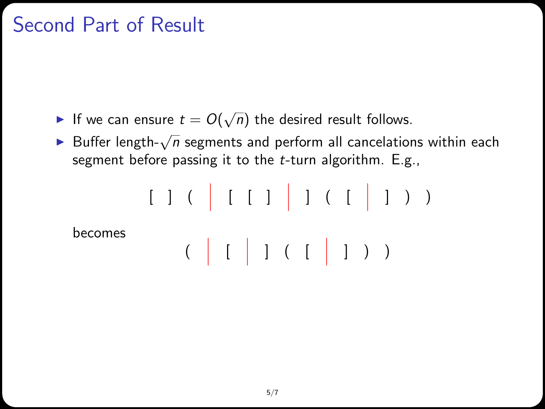## Second Part of Result

- If we can ensure  $t = O(\sqrt{n})$  the desired result follows.
- ► Buffer length- $\sqrt{n}$  segments and perform all cancelations within each segment before passing it to the  $t$ -turn algorithm. E.g.,

[ ] (  [ [ ]  ] ( [  ] ) ) becomes (  [  ] ( [  ] ) )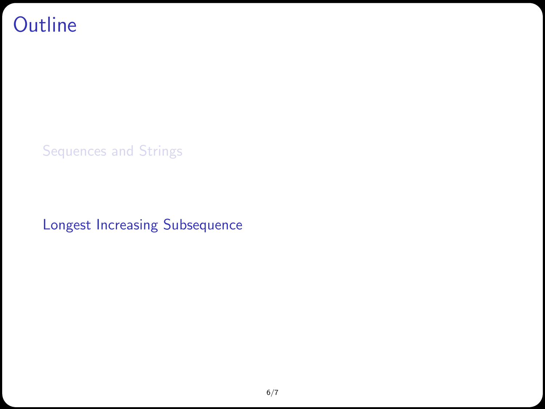#### **Outline**

[Sequences and Strings](#page-1-0)

<span id="page-5-0"></span>[Longest Increasing Subsequence](#page-5-0)